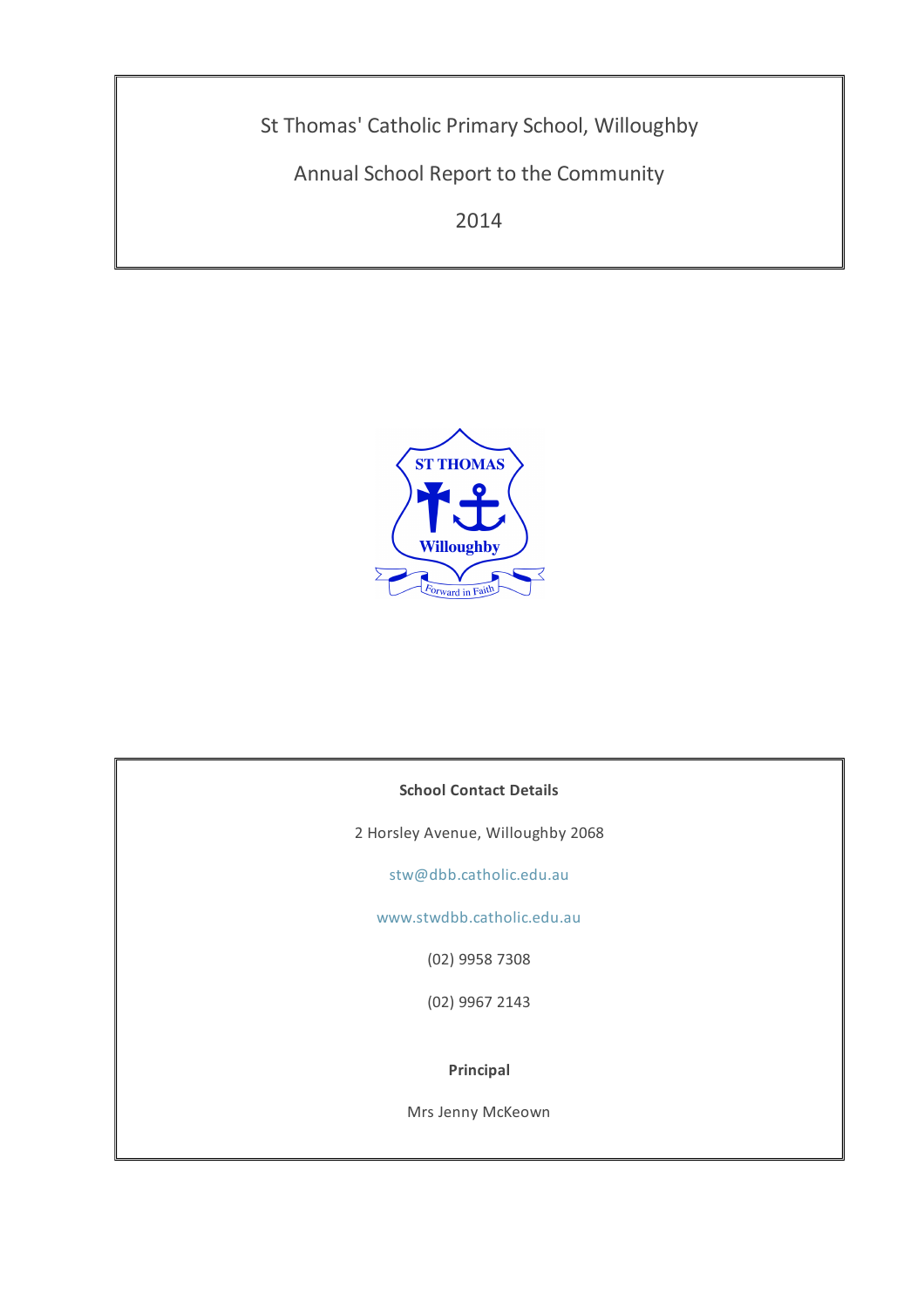St Thomas' Catholic Primary School, Willoughby

Annual School Report to the Community

2014



## **School Contact Details**

2 Horsley Avenue, Willoughby 2068

[stw@dbb.catholic.edu.au](mailto: stw@dbb.catholic.edu.au)

[www.stwdbb.catholic.edu.au](http://asr.dbb.org.au/Reports/Print/325/www.stwdbb.catholic.edu.au)

(02) 9958 7308

(02) 9967 2143

**Principal**

Mrs Jenny McKeown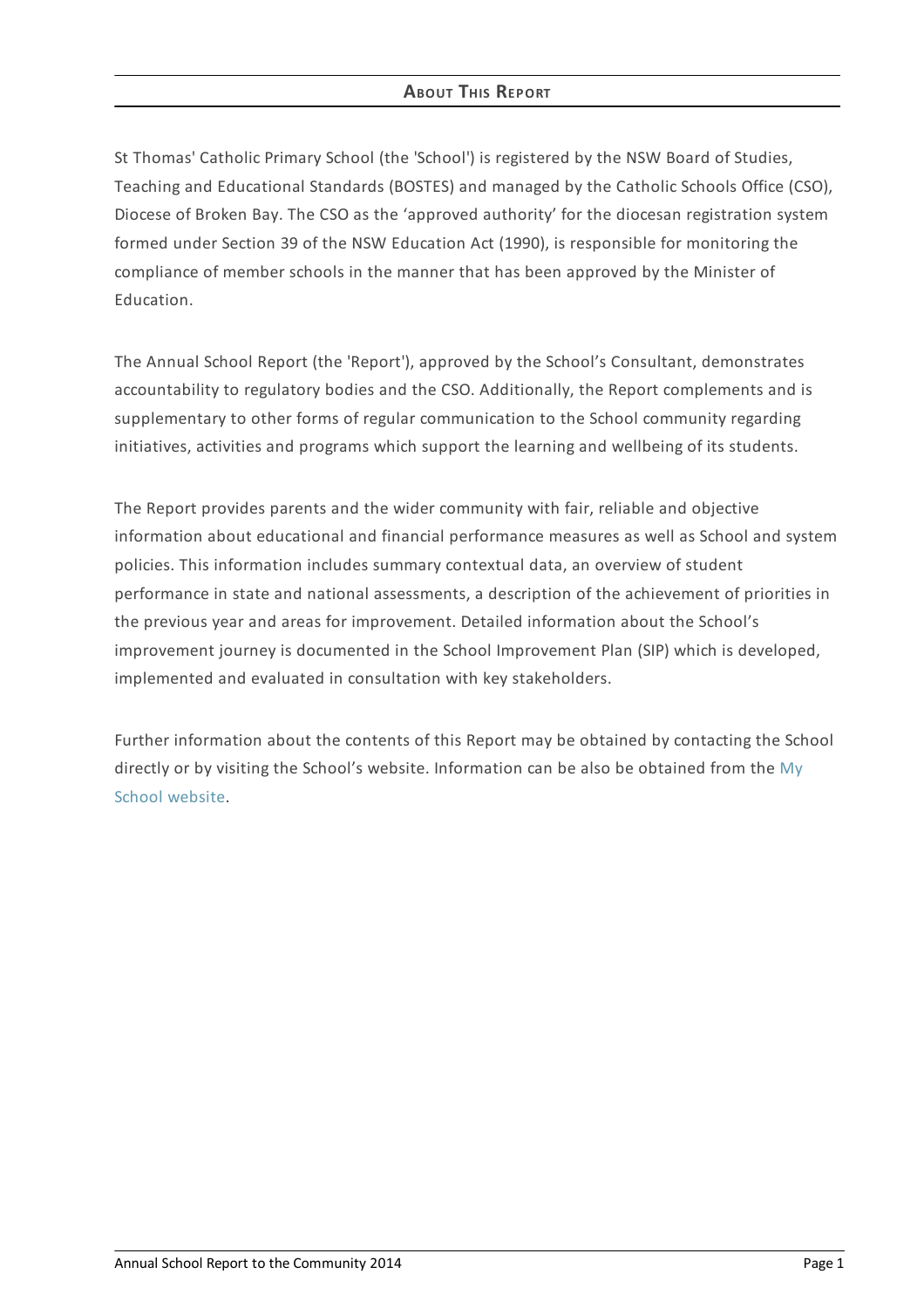## **ABOUT THIS REPORT**

St Thomas' Catholic Primary School (the 'School') is registered by the NSW Board of Studies, Teaching and Educational Standards (BOSTES) and managed by the Catholic Schools Office (CSO), Diocese of Broken Bay. The CSO as the 'approved authority' for the diocesan registration system formed under Section 39 of the NSW Education Act (1990), is responsible for monitoring the compliance of member schools in the manner that has been approved by the Minister of Education.

The Annual School Report (the 'Report'), approved by the School's Consultant, demonstrates accountability to regulatory bodies and the CSO. Additionally, the Report complements and is supplementary to other forms of regular communication to the School community regarding initiatives, activities and programs which support the learning and wellbeing of its students.

The Report provides parents and the wider community with fair, reliable and objective information about educational and financial performance measures as well as School and system policies. This information includes summary contextual data, an overview of student performance in state and national assessments, a description of the achievement of priorities in the previous year and areas for improvement. Detailed information about the School's improvement journey is documented in the School Improvement Plan (SIP) which is developed, implemented and evaluated in consultation with key stakeholders.

Further information about the contents of this Report may be obtained by contacting the School directly or by visiting the School's website. [Information](http://www.myschool.edu.au/) can be also be obtained from the My School website.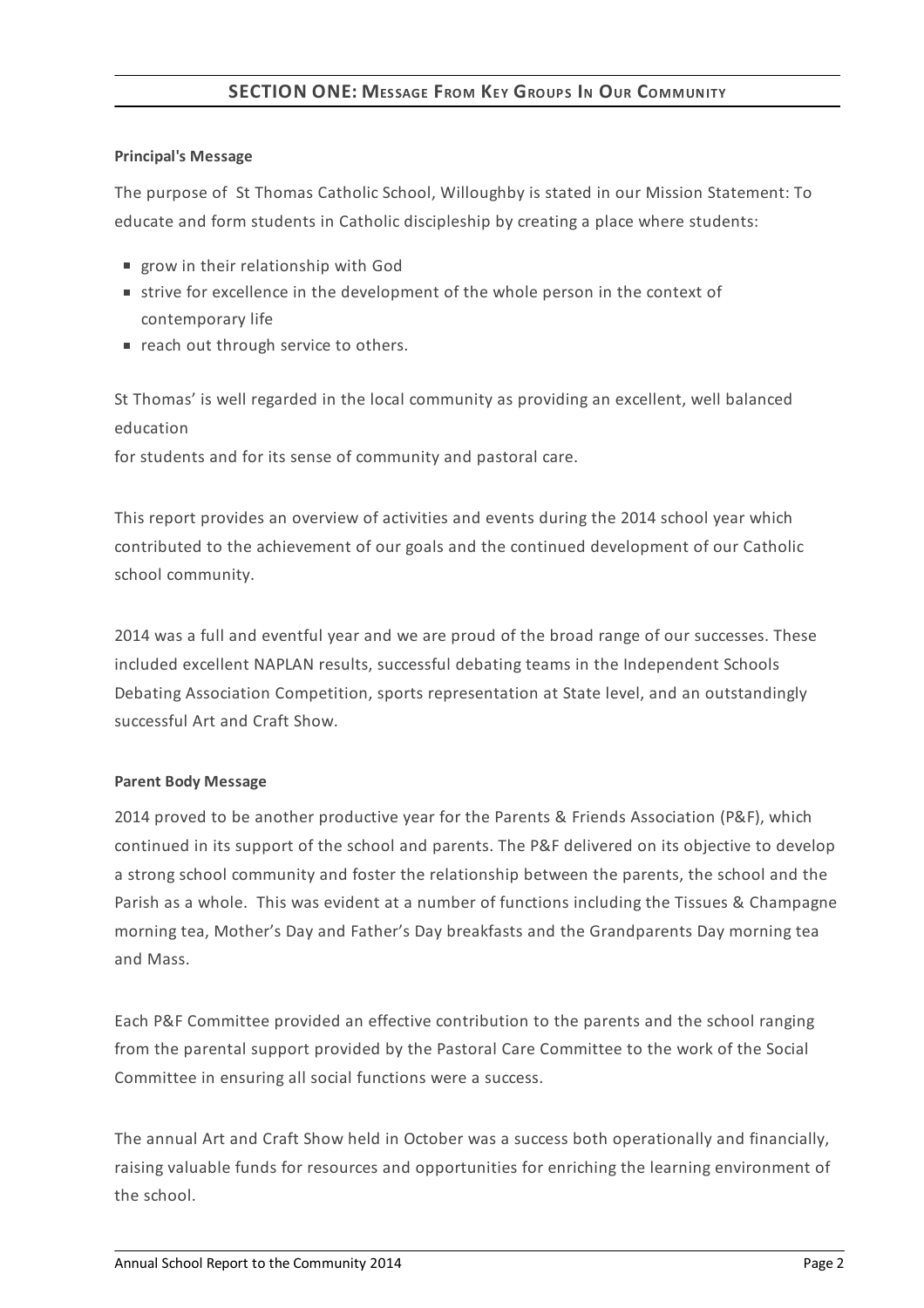# **SECTION ONE: MESSAGE FROM KEY GROUPS I<sup>N</sup> OUR COMMUNITY**

#### **Principal's Message**

The purpose of St Thomas Catholic School, Willoughby is stated in our Mission Statement: To educate and form students in Catholic discipleship by creating a place where students:

- **p** grow in their relationship with God
- strive for excellence in the development of the whole person in the context of contemporary life
- reach out through service to others.

St Thomas' is well regarded in the local community as providing an excellent, well balanced education

for students and for its sense of community and pastoral care.

This report provides an overview of activities and events during the 2014 school year which contributed to the achievement of our goals and the continued development of our Catholic school community.

2014 was a full and eventful year and we are proud of the broad range of our successes. These included excellent NAPLAN results, successful debating teams in the Independent Schools Debating Association Competition, sports representation at State level, and an outstandingly successful Art and Craft Show.

## **Parent Body Message**

2014 proved to be another productive year for the Parents & Friends Association (P&F), which continued in its support of the school and parents. The P&F delivered on its objective to develop a strong school community and foster the relationship between the parents, the school and the Parish as a whole. This was evident at a number of functions including the Tissues & Champagne morning tea, Mother's Day and Father's Day breakfasts and the Grandparents Day morning tea and Mass.

Each P&F Committee provided an effective contribution to the parents and the school ranging from the parental support provided by the Pastoral Care Committee to the work of the Social Committee in ensuring all social functions were a success.

The annual Art and Craft Show held in October was a success both operationally and financially, raising valuable funds for resources and opportunities for enriching the learning environment of the school.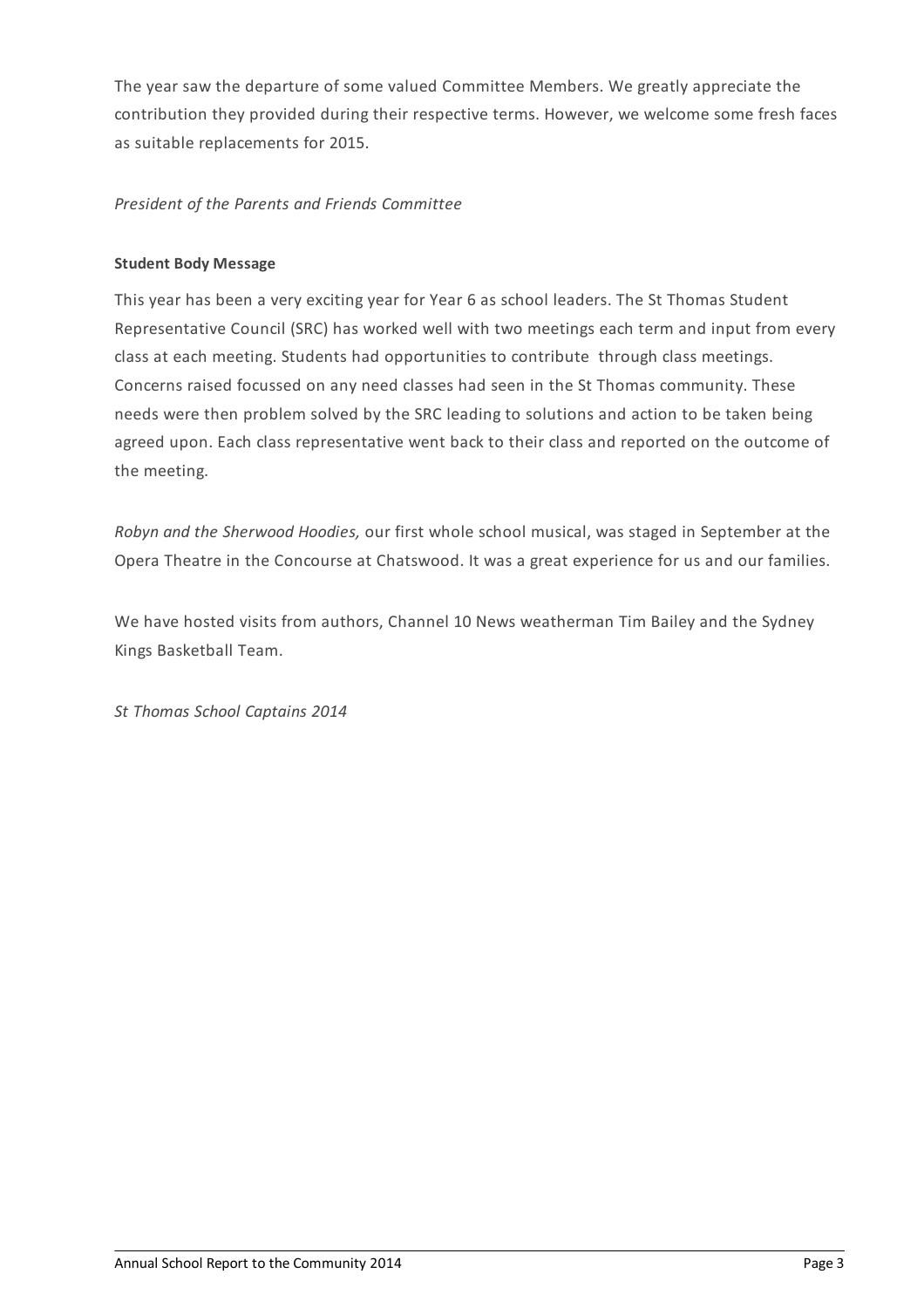The year saw the departure of some valued Committee Members. We greatly appreciate the contribution they provided during their respective terms. However, we welcome some fresh faces as suitable replacements for 2015.

# *President of the Parents and Friends Committee*

## **Student Body Message**

This year has been a very exciting year for Year 6 as school leaders. The St Thomas Student Representative Council (SRC) has worked well with two meetings each term and input from every class at each meeting. Students had opportunities to contribute through class meetings. Concerns raised focussed on any need classes had seen in the St Thomas community. These needs were then problem solved by the SRC leading to solutions and action to be taken being agreed upon. Each class representative went back to their class and reported on the outcome of the meeting.

*Robyn and the Sherwood Hoodies,* our first whole school musical, was staged in September at the Opera Theatre in the Concourse at Chatswood. It was a great experience for us and our families.

We have hosted visits from authors, Channel 10 News weatherman Tim Bailey and the Sydney Kings Basketball Team.

*St Thomas School Captains 2014*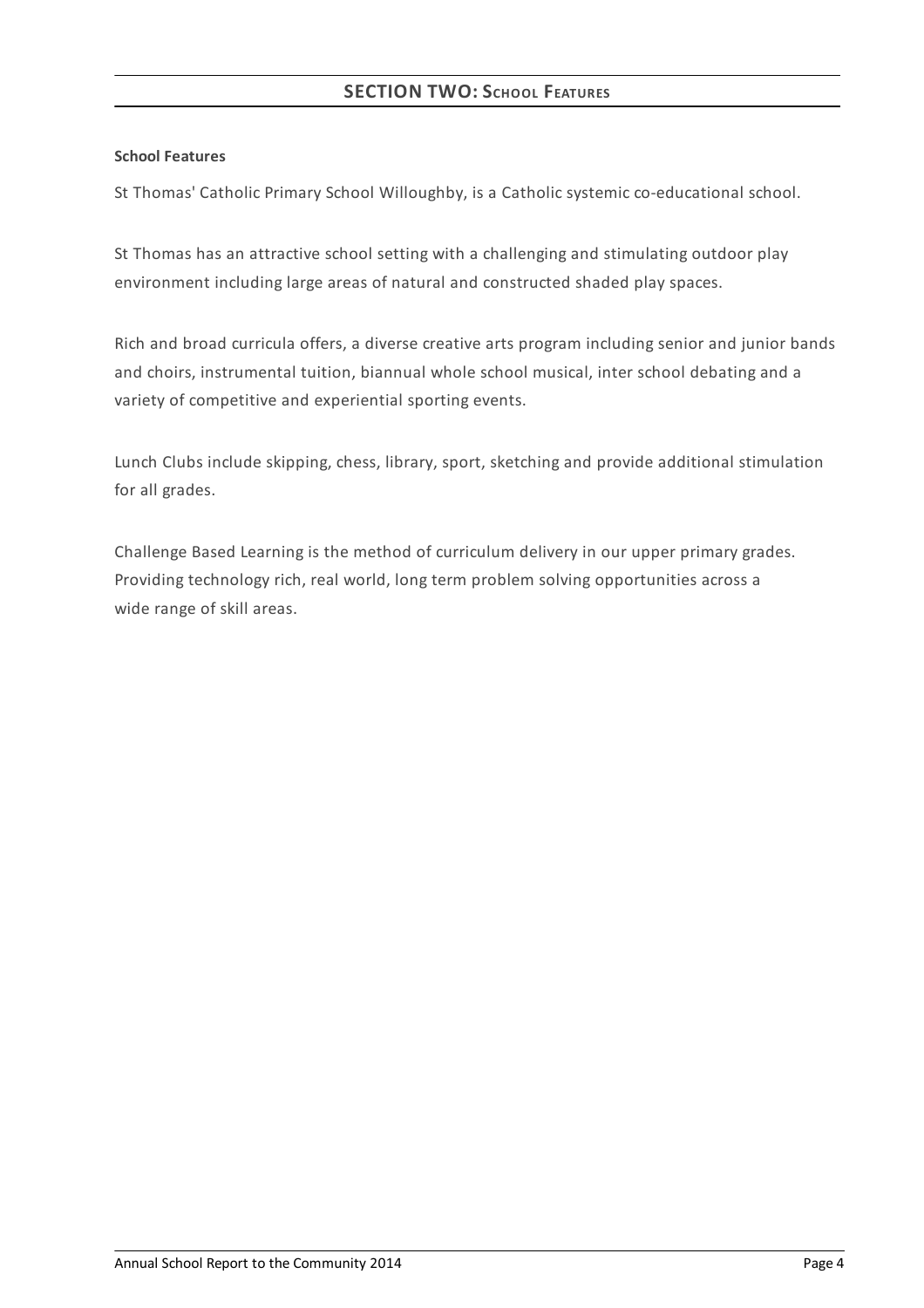## **School Features**

St Thomas' Catholic Primary School Willoughby, is a Catholic systemic co-educational school.

St Thomas has an attractive school setting with a challenging and stimulating outdoor play environment including large areas of natural and constructed shaded play spaces.

Rich and broad curricula offers, a diverse creative arts program including senior and junior bands and choirs, instrumental tuition, biannual whole school musical, inter school debating and a variety of competitive and experiential sporting events.

Lunch Clubs include skipping, chess, library, sport, sketching and provide additional stimulation for all grades.

Challenge Based Learning is the method of curriculum delivery in our upper primary grades. Providing technology rich, real world, long term problem solving opportunities across a wide range of skill areas.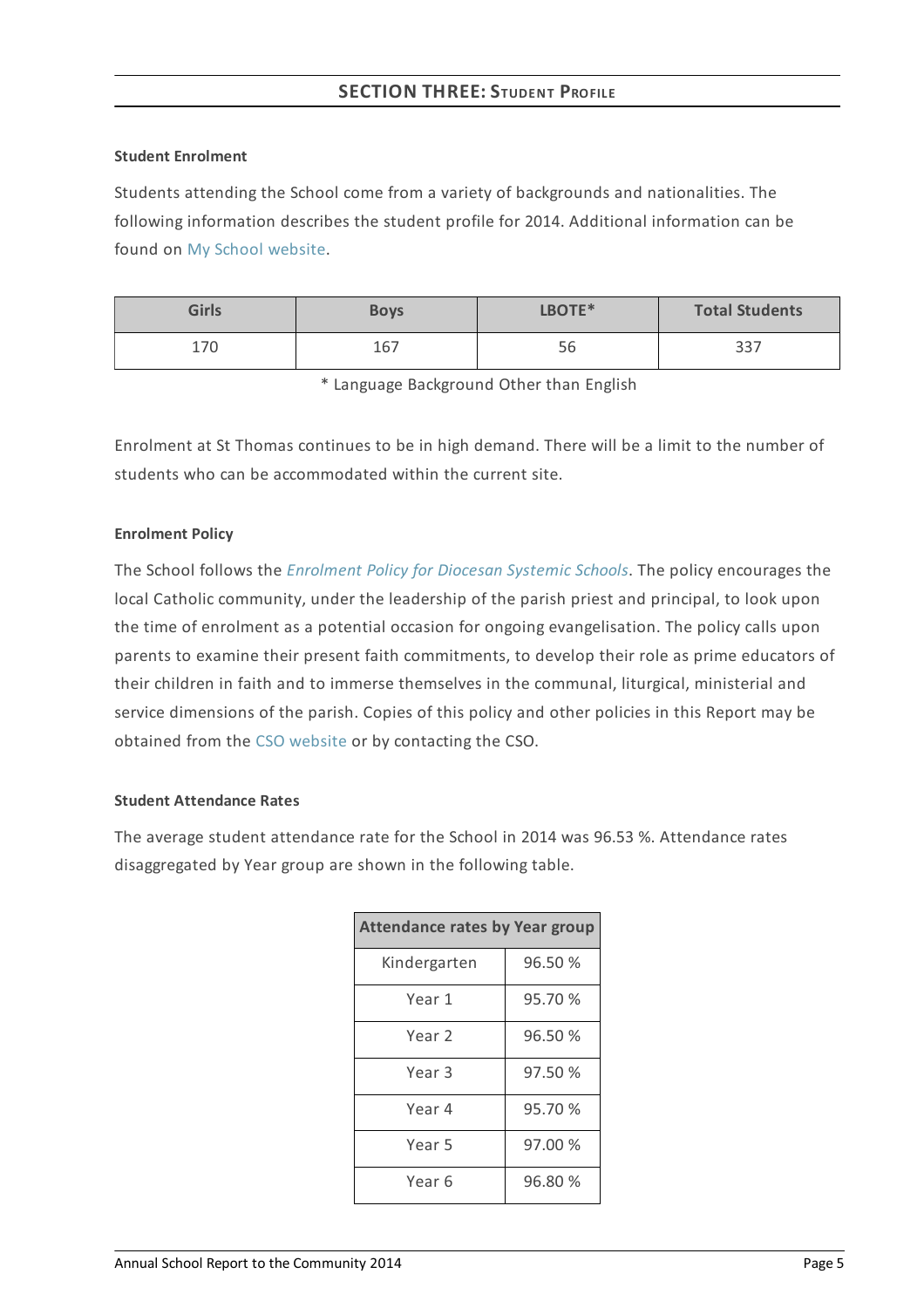#### **Student Enrolment**

Students attending the School come from a variety of backgrounds and nationalities. The following information describes the student profile for 2014. Additional information can be found on My School [website](http://www.myschool.edu.au/).

| <b>Girls</b> | <b>Boys</b> | LBOTE* | <b>Total Students</b> |
|--------------|-------------|--------|-----------------------|
| 170          | 167         | 56     | 337                   |

\* Language Background Other than English

Enrolment at St Thomas continues to be in high demand. There will be a limit to the number of students who can be accommodated within the current site.

#### **Enrolment Policy**

The School follows the *[Enrolment](https://www.csodbb.catholic.edu.au/about/dsp-collection.cfm?loadref=125) Policy for Diocesan Systemic Schools*. The policy encourages the local Catholic community, under the leadership of the parish priest and principal, to look upon the time of enrolment as a potential occasion for ongoing evangelisation. The policy calls upon parents to examine their present faith commitments, to develop their role as prime educators of their children in faith and to immerse themselves in the communal, liturgical, ministerial and service dimensions of the parish. Copies of this policy and other policies in this Report may be obtained from the CSO [website](https://www.csodbb.catholic.edu.au/index.cfm) or by contacting the CSO.

## **Student Attendance Rates**

The average student attendance rate for the School in 2014 was 96.53 %. Attendance rates disaggregated by Year group are shown in the following table.

| <b>Attendance rates by Year group</b> |         |  |  |
|---------------------------------------|---------|--|--|
| Kindergarten                          | 96.50 % |  |  |
| Year 1                                | 95.70 % |  |  |
| Year 2                                | 96.50 % |  |  |
| Year 3                                | 97.50 % |  |  |
| Year 4                                | 95.70 % |  |  |
| Year 5                                | 97.00 % |  |  |
| Year 6                                | 96.80 % |  |  |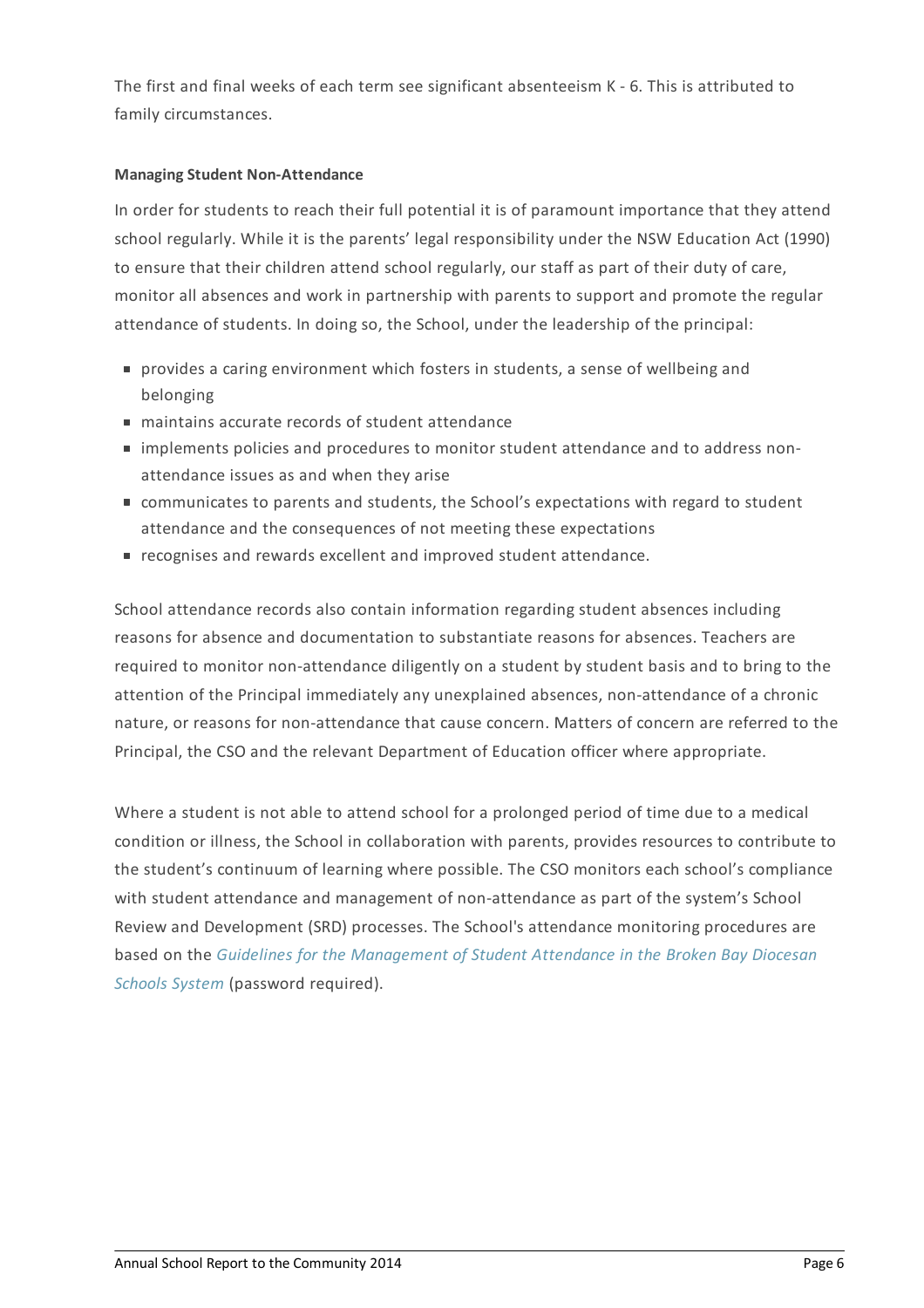The first and final weeks of each term see significant absenteeism K - 6. This is attributed to family circumstances.

## **Managing Student Non-Attendance**

In order for students to reach their full potential it is of paramount importance that they attend school regularly. While it is the parents' legal responsibility under the NSW Education Act (1990) to ensure that their children attend school regularly, our staff as part of their duty of care, monitor all absences and work in partnership with parents to support and promote the regular attendance of students. In doing so, the School, under the leadership of the principal:

- provides a caring environment which fosters in students, a sense of wellbeing and belonging
- maintains accurate records of student attendance
- implements policies and procedures to monitor student attendance and to address nonattendance issues as and when they arise
- communicates to parents and students, the School's expectations with regard to student attendance and the consequences of not meeting these expectations
- recognises and rewards excellent and improved student attendance.

School attendance records also contain information regarding student absences including reasons for absence and documentation to substantiate reasons for absences. Teachers are required to monitor non-attendance diligently on a student by student basis and to bring to the attention of the Principal immediately any unexplained absences, non-attendance of a chronic nature, or reasons for non-attendance that cause concern. Matters of concern are referred to the Principal, the CSO and the relevant Department of Education officer where appropriate.

Where a student is not able to attend school for a prolonged period of time due to a medical condition or illness, the School in collaboration with parents, provides resources to contribute to the student's continuum of learning where possible. The CSO monitors each school's compliance with student attendance and management of non-attendance as part of the system's School Review and Development (SRD) processes. The School's attendance monitoring procedures are based on the *Guidelines for the [Management](http://srd.dbbcso.org/attendance--enrolment.html) of Student Attendance in the Broken Bay Diocesan Schools System* (password required).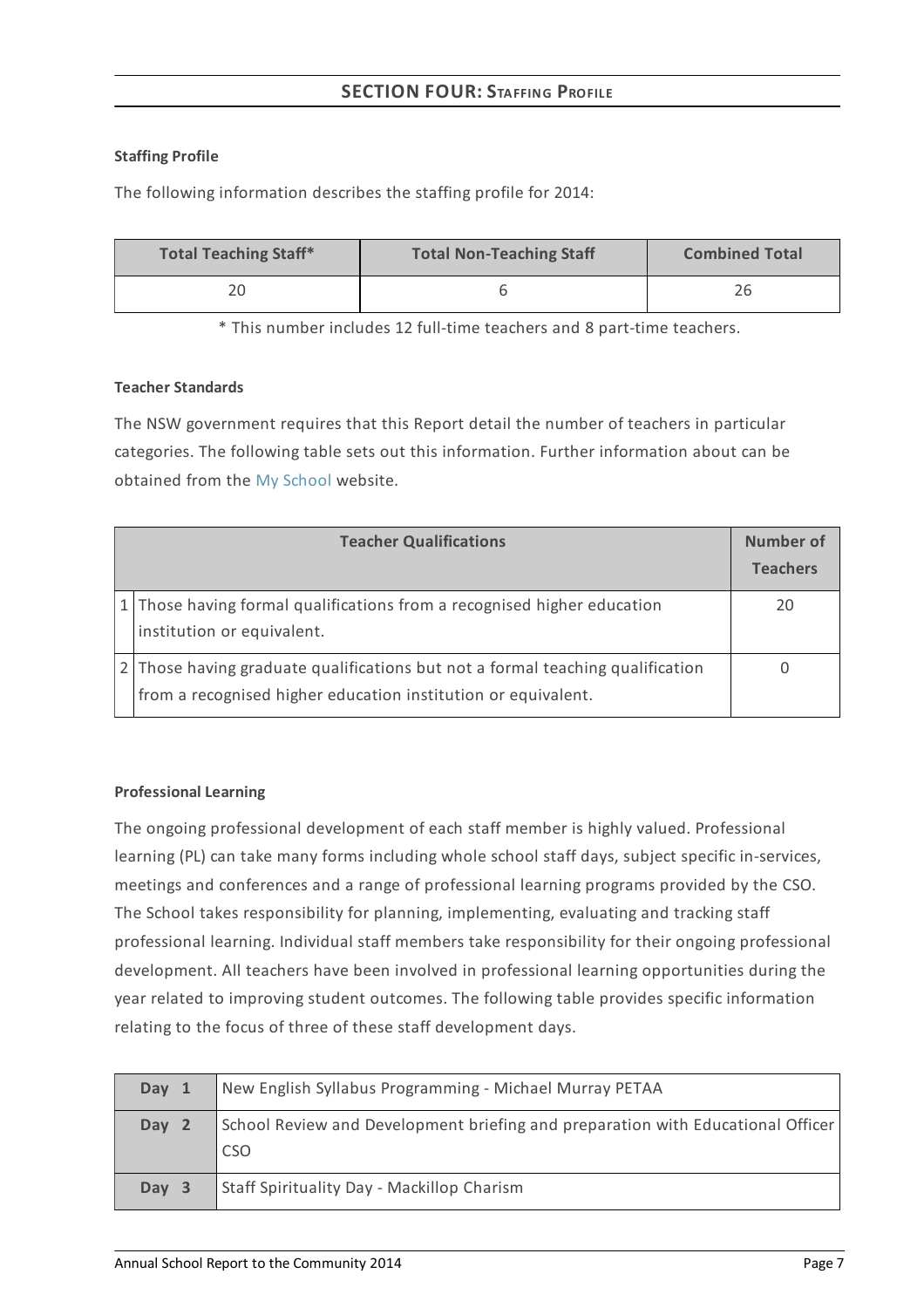# **SECTION FOUR:STAFFING PROFILE**

## **Staffing Profile**

The following information describes the staffing profile for 2014:

| <b>Total Teaching Staff*</b> | <b>Total Non-Teaching Staff</b> | <b>Combined Total</b> |
|------------------------------|---------------------------------|-----------------------|
| 20                           |                                 |                       |

\* This number includes 12 full-time teachers and 8 part-time teachers.

## **Teacher Standards**

The NSW government requires that this Report detail the number of teachers in particular categories. The following table sets out this information. Further information about can be obtained from the My [School](http://www.myschool.edu.au/) website.

| <b>Teacher Qualifications</b>                                                                                                                   | Number of<br><b>Teachers</b> |
|-------------------------------------------------------------------------------------------------------------------------------------------------|------------------------------|
| 1 Those having formal qualifications from a recognised higher education<br>institution or equivalent.                                           | 20                           |
| 2 Those having graduate qualifications but not a formal teaching qualification<br>from a recognised higher education institution or equivalent. |                              |

# **Professional Learning**

The ongoing professional development of each staff member is highly valued. Professional learning (PL) can take many forms including whole school staff days, subject specific in-services, meetings and conferences and a range of professional learning programs provided by the CSO. The School takes responsibility for planning, implementing, evaluating and tracking staff professional learning. Individual staff members take responsibility for their ongoing professional development. All teachers have been involved in professional learning opportunities during the year related to improving student outcomes. The following table provides specific information relating to the focus of three of these staff development days.

| Day 1 | New English Syllabus Programming - Michael Murray PETAA                                |
|-------|----------------------------------------------------------------------------------------|
| Day 2 | School Review and Development briefing and preparation with Educational Officer<br>CSO |
| Day 3 | <b>Staff Spirituality Day - Mackillop Charism</b>                                      |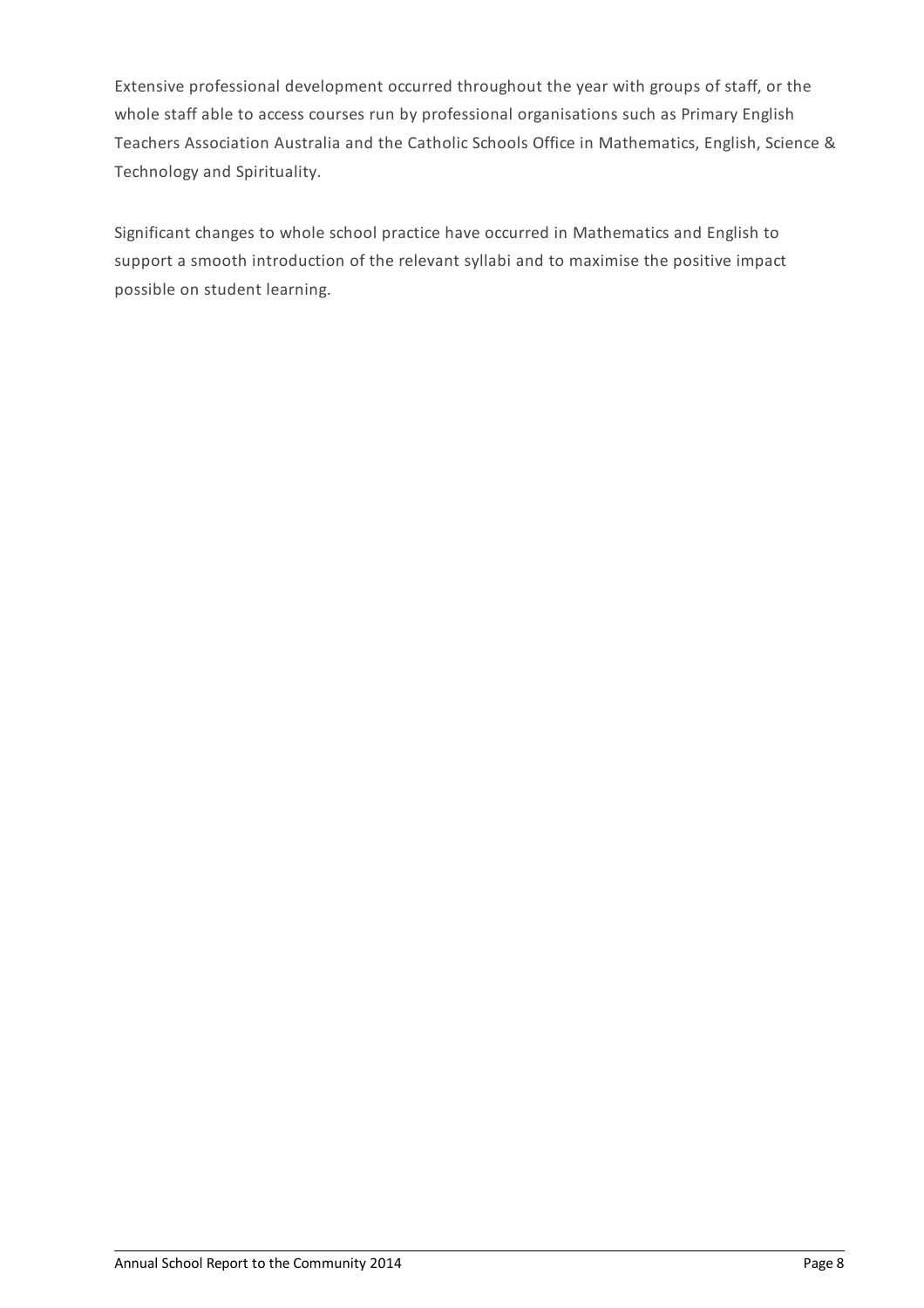Extensive professional development occurred throughout the year with groups of staff, or the whole staff able to access courses run by professional organisations such as Primary English Teachers Association Australia and the Catholic Schools Office in Mathematics, English, Science & Technology and Spirituality.

Significant changes to whole school practice have occurred in Mathematics and English to support a smooth introduction of the relevant syllabi and to maximise the positive impact possible on student learning.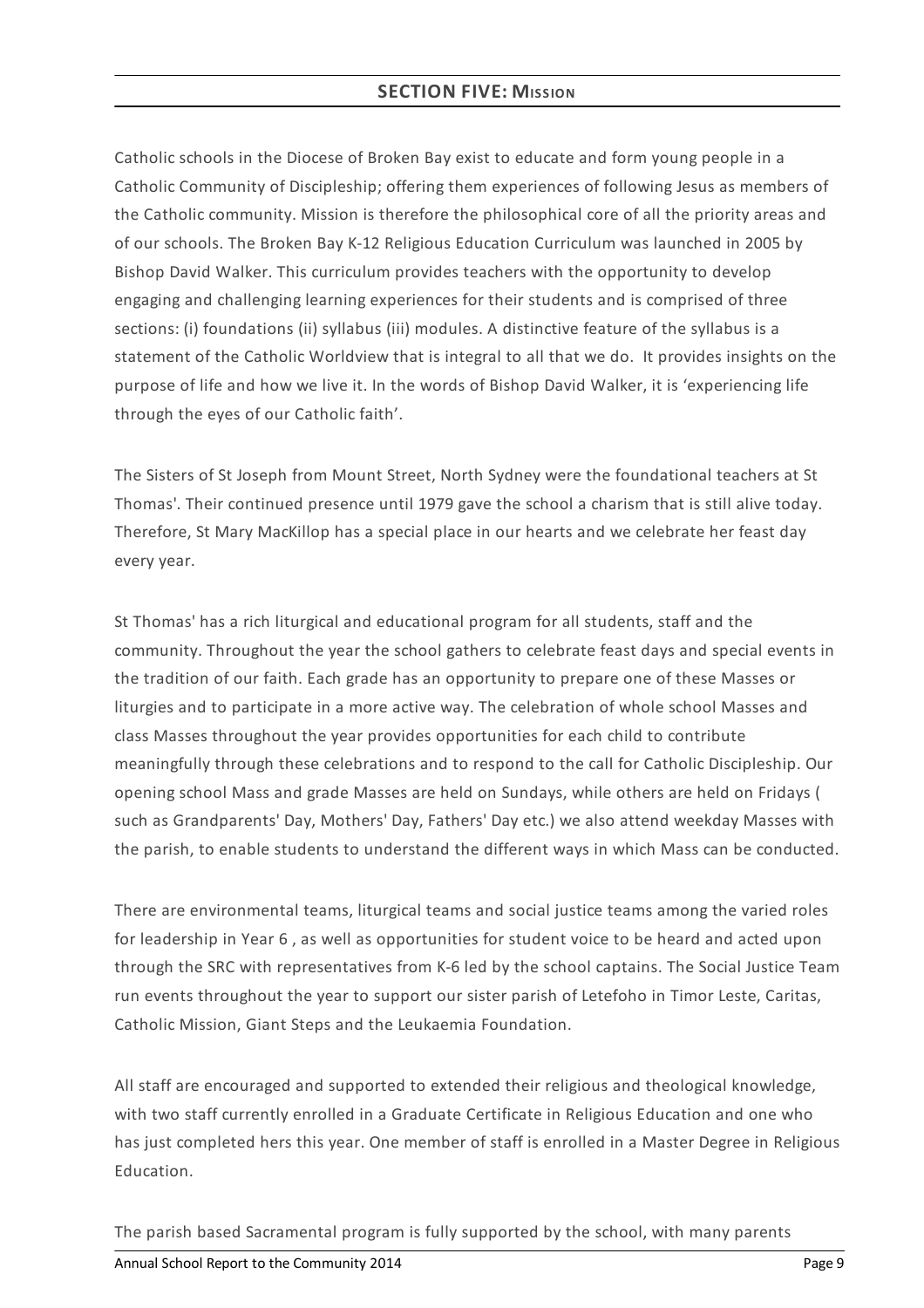## **SECTION FIVE: MISSION**

Catholic schools in the Diocese of Broken Bay exist to educate and form young people in a Catholic Community of Discipleship; offering them experiences of following Jesus as members of the Catholic community. Mission is therefore the philosophical core of all the priority areas and of our schools. The Broken Bay K-12 Religious Education Curriculum was launched in 2005 by Bishop David Walker. This curriculum provides teachers with the opportunity to develop engaging and challenging learning experiences for their students and is comprised of three sections: (i) foundations (ii) syllabus (iii) modules. A distinctive feature of the syllabus is a statement of the Catholic Worldview that is integral to all that we do. It provides insights on the purpose of life and how we live it. In the words of Bishop David Walker, it is 'experiencing life through the eyes of our Catholic faith'.

The Sisters of St Joseph from Mount Street, North Sydney were the foundational teachers at St Thomas'. Their continued presence until 1979 gave the school a charism that is still alive today. Therefore, St Mary MacKillop has a special place in our hearts and we celebrate her feast day every year.

St Thomas' has a rich liturgical and educational program for all students, staff and the community. Throughout the year the school gathers to celebrate feast days and special events in the tradition of our faith. Each grade has an opportunity to prepare one of these Masses or liturgies and to participate in a more active way. The celebration of whole school Masses and class Masses throughout the year provides opportunities for each child to contribute meaningfully through these celebrations and to respond to the call for Catholic Discipleship. Our opening school Mass and grade Masses are held on Sundays, while others are held on Fridays ( such as Grandparents' Day, Mothers' Day, Fathers' Day etc.) we also attend weekday Masses with the parish, to enable students to understand the different ways in which Mass can be conducted.

There are environmental teams, liturgical teams and social justice teams among the varied roles for leadership in Year 6 , as well as opportunities for student voice to be heard and acted upon through the SRC with representatives from K-6 led by the school captains. The Social Justice Team run events throughout the year to support our sister parish of Letefoho in Timor Leste, Caritas, Catholic Mission, Giant Steps and the Leukaemia Foundation.

All staff are encouraged and supported to extended their religious and theological knowledge, with two staff currently enrolled in a Graduate Certificate in Religious Education and one who has just completed hers this year. One member of staff is enrolled in a Master Degree in Religious Education.

The parish based Sacramental program is fully supported by the school, with many parents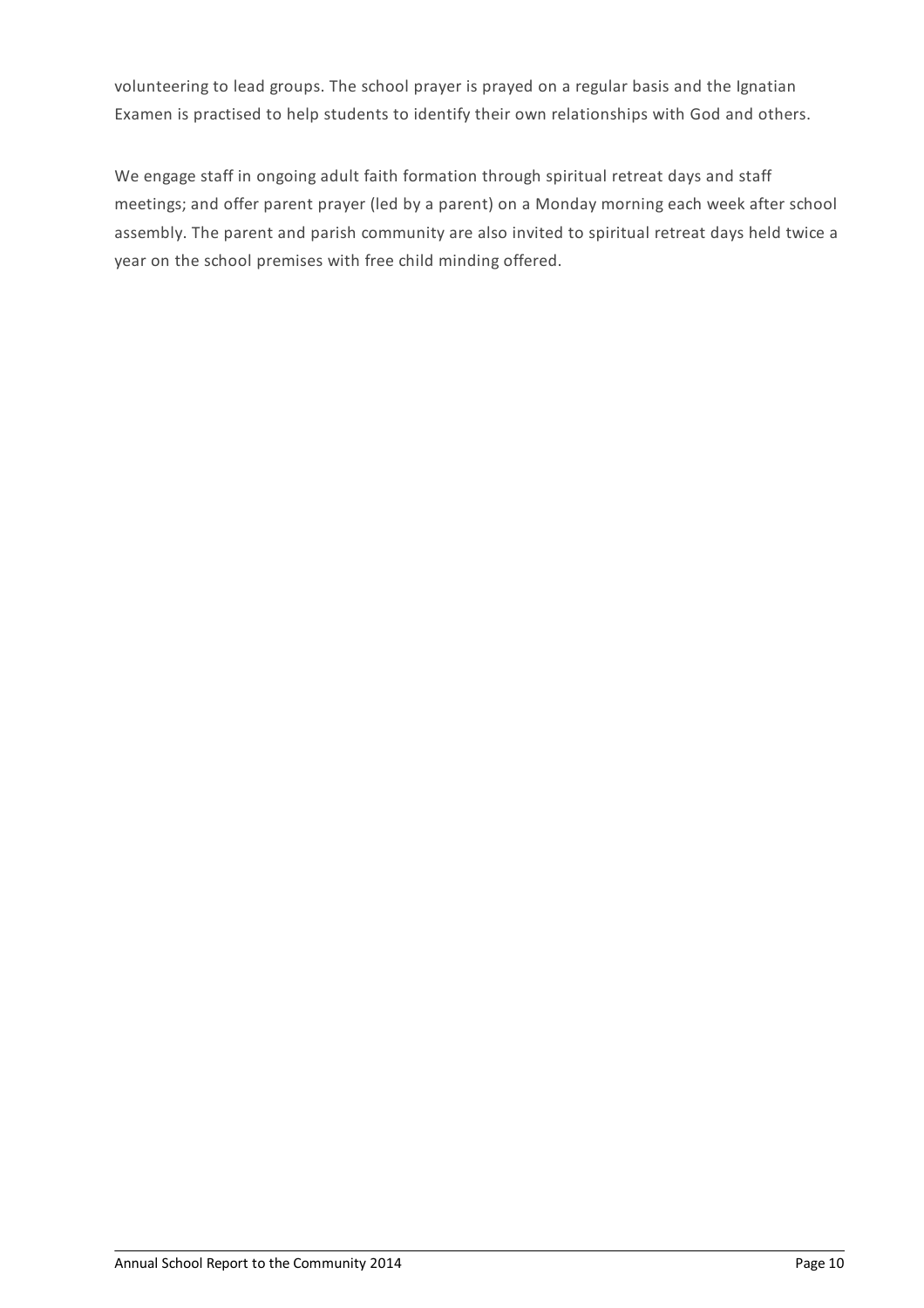volunteering to lead groups. The school prayer is prayed on a regular basis and the Ignatian Examen is practised to help students to identify their own relationships with God and others.

We engage staff in ongoing adult faith formation through spiritual retreat days and staff meetings; and offer parent prayer (led by a parent) on a Monday morning each week after school assembly. The parent and parish community are also invited to spiritual retreat days held twice a year on the school premises with free child minding offered.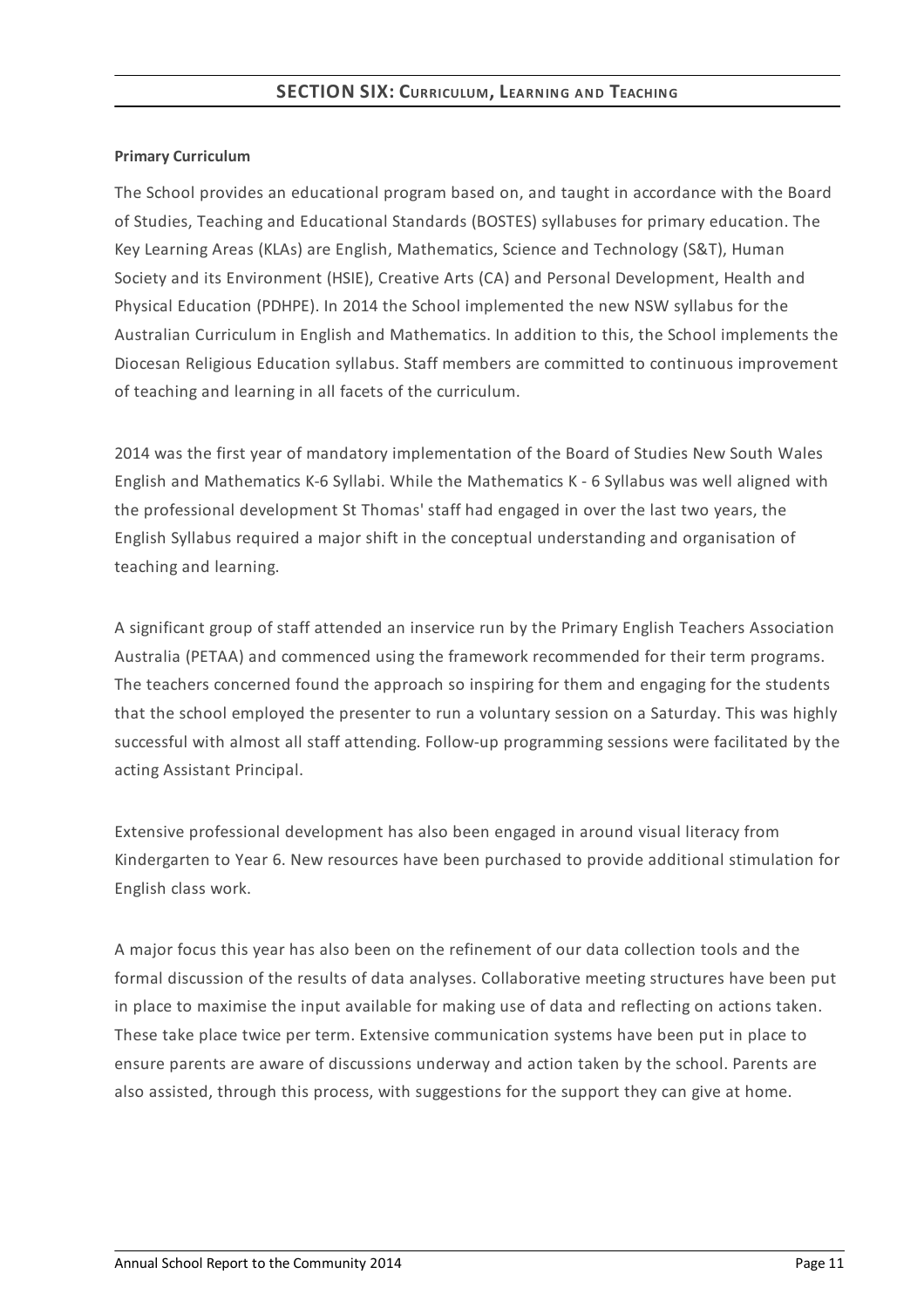## **Primary Curriculum**

The School provides an educational program based on, and taught in accordance with the Board of Studies, Teaching and Educational Standards (BOSTES) syllabuses for primary education. The Key Learning Areas (KLAs) are English, Mathematics, Science and Technology (S&T), Human Society and its Environment (HSIE), Creative Arts (CA) and Personal Development, Health and Physical Education (PDHPE). In 2014 the School implemented the new NSW syllabus for the Australian Curriculum in English and Mathematics. In addition to this, the School implements the Diocesan Religious Education syllabus. Staff members are committed to continuous improvement of teaching and learning in all facets of the curriculum.

2014 was the first year of mandatory implementation of the Board of Studies New South Wales English and Mathematics K-6 Syllabi. While the Mathematics K - 6 Syllabus was well aligned with the professional development St Thomas' staff had engaged in over the last two years, the English Syllabus required a major shift in the conceptual understanding and organisation of teaching and learning.

A significant group of staff attended an inservice run by the Primary English Teachers Association Australia (PETAA) and commenced using the framework recommended for their term programs. The teachers concerned found the approach so inspiring for them and engaging for the students that the school employed the presenter to run a voluntary session on a Saturday. This was highly successful with almost all staff attending. Follow-up programming sessions were facilitated by the acting Assistant Principal.

Extensive professional development has also been engaged in around visual literacy from Kindergarten to Year 6. New resources have been purchased to provide additional stimulation for English class work.

A major focus this year has also been on the refinement of our data collection tools and the formal discussion of the results of data analyses. Collaborative meeting structures have been put in place to maximise the input available for making use of data and reflecting on actions taken. These take place twice per term. Extensive communication systems have been put in place to ensure parents are aware of discussions underway and action taken by the school. Parents are also assisted, through this process, with suggestions for the support they can give at home.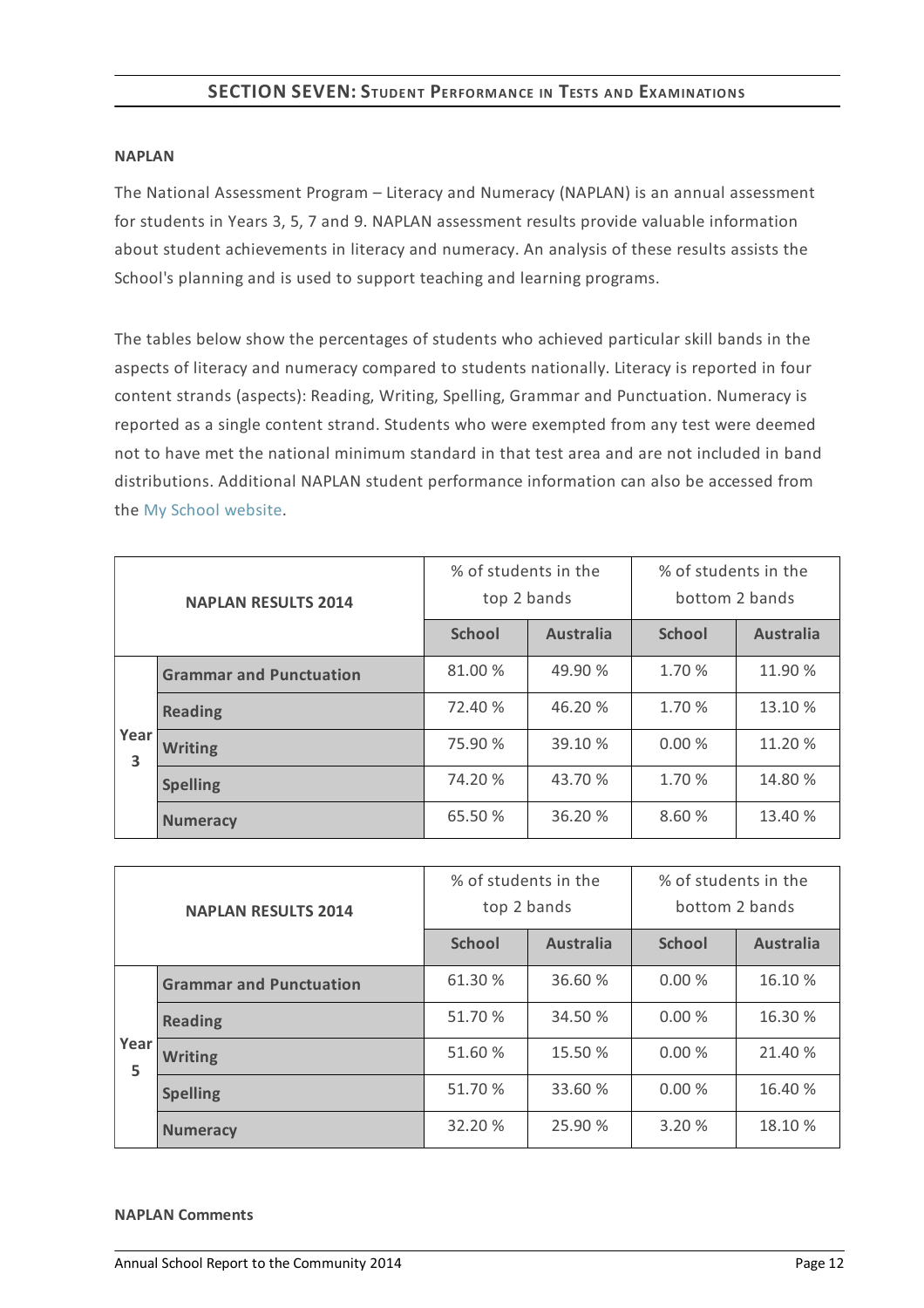## **SECTION SEVEN:STUDENT PERFORMANCE IN TESTS AND EXAMINATIONS**

#### **NAPLAN**

The National Assessment Program – Literacy and Numeracy (NAPLAN) is an annual assessment for students in Years 3, 5, 7 and 9. NAPLAN assessment results provide valuable information about student achievements in literacy and numeracy. An analysis of these results assists the School's planning and is used to support teaching and learning programs.

The tables below show the percentages of students who achieved particular skill bands in the aspects of literacy and numeracy compared to students nationally. Literacy is reported in four content strands (aspects): Reading, Writing, Spelling, Grammar and Punctuation. Numeracy is reported as a single content strand. Students who were exempted from any test were deemed not to have met the national minimum standard in that test area and are not included in band distributions. Additional NAPLAN student performance information can also be accessed from the My School [website](http://www.myschool.edu.au/).

| <b>NAPLAN RESULTS 2014</b> |                                | % of students in the<br>top 2 bands |                  | % of students in the<br>bottom 2 bands |                  |
|----------------------------|--------------------------------|-------------------------------------|------------------|----------------------------------------|------------------|
|                            |                                | <b>School</b>                       | <b>Australia</b> | <b>School</b>                          | <b>Australia</b> |
|                            | <b>Grammar and Punctuation</b> | 81.00 %                             | 49.90 %          | 1.70 %                                 | 11.90 %          |
|                            | <b>Reading</b>                 | 72.40 %                             | 46.20 %          | 1.70 %                                 | 13.10 %          |
| Year<br>3                  | <b>Writing</b>                 | 75.90 %                             | 39.10 %          | 0.00%                                  | 11.20 %          |
|                            | <b>Spelling</b>                | 74.20 %                             | 43.70 %          | 1.70 %                                 | 14.80 %          |
|                            | <b>Numeracy</b>                | 65.50 %                             | 36.20 %          | 8.60 %                                 | 13.40 %          |

| <b>NAPLAN RESULTS 2014</b> |                                | % of students in the<br>top 2 bands |                  | % of students in the<br>bottom 2 bands |                  |
|----------------------------|--------------------------------|-------------------------------------|------------------|----------------------------------------|------------------|
|                            |                                | <b>School</b>                       | <b>Australia</b> | <b>School</b>                          | <b>Australia</b> |
|                            | <b>Grammar and Punctuation</b> | 61.30 %                             | 36.60 %          | 0.00%                                  | 16.10 %          |
|                            | <b>Reading</b>                 | 51.70 %                             | 34.50 %          | 0.00%                                  | 16.30 %          |
| Year<br>5                  | <b>Writing</b>                 | 51.60 %                             | 15.50 %          | 0.00%                                  | 21.40 %          |
|                            | <b>Spelling</b>                | 51.70 %                             | 33.60 %          | 0.00%                                  | 16.40 %          |
|                            | <b>Numeracy</b>                | 32.20 %                             | 25.90 %          | 3.20 %                                 | 18.10 %          |

#### **NAPLAN Comments**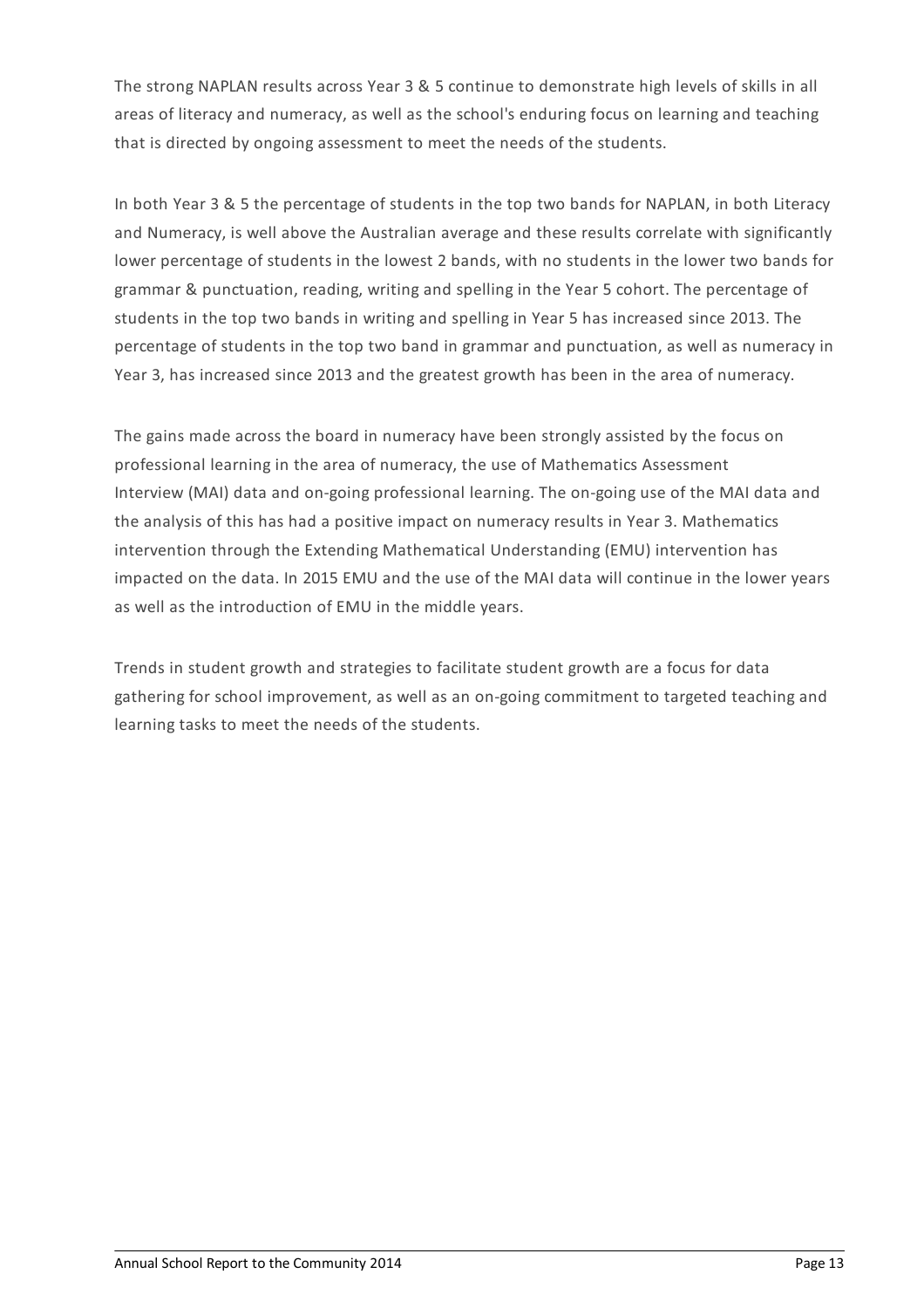The strong NAPLAN results across Year 3 & 5 continue to demonstrate high levels of skills in all areas of literacy and numeracy, as well as the school's enduring focus on learning and teaching that is directed by ongoing assessment to meet the needs of the students.

In both Year 3 & 5 the percentage of students in the top two bands for NAPLAN, in both Literacy and Numeracy, is well above the Australian average and these results correlate with significantly lower percentage of students in the lowest 2 bands, with no students in the lower two bands for grammar & punctuation, reading, writing and spelling in the Year 5 cohort. The percentage of students in the top two bands in writing and spelling in Year 5 has increased since 2013. The percentage of students in the top two band in grammar and punctuation, as well as numeracy in Year 3, has increased since 2013 and the greatest growth has been in the area of numeracy.

The gains made across the board in numeracy have been strongly assisted by the focus on professional learning in the area of numeracy, the use of Mathematics Assessment Interview (MAI) data and on-going professional learning. The on-going use of the MAI data and the analysis of this has had a positive impact on numeracy results in Year 3. Mathematics intervention through the Extending Mathematical Understanding (EMU) intervention has impacted on the data. In 2015 EMU and the use of the MAI data will continue in the lower years as well as the introduction of EMU in the middle years.

Trends in student growth and strategies to facilitate student growth are a focus for data gathering for school improvement, as well as an on-going commitment to targeted teaching and learning tasks to meet the needs of the students.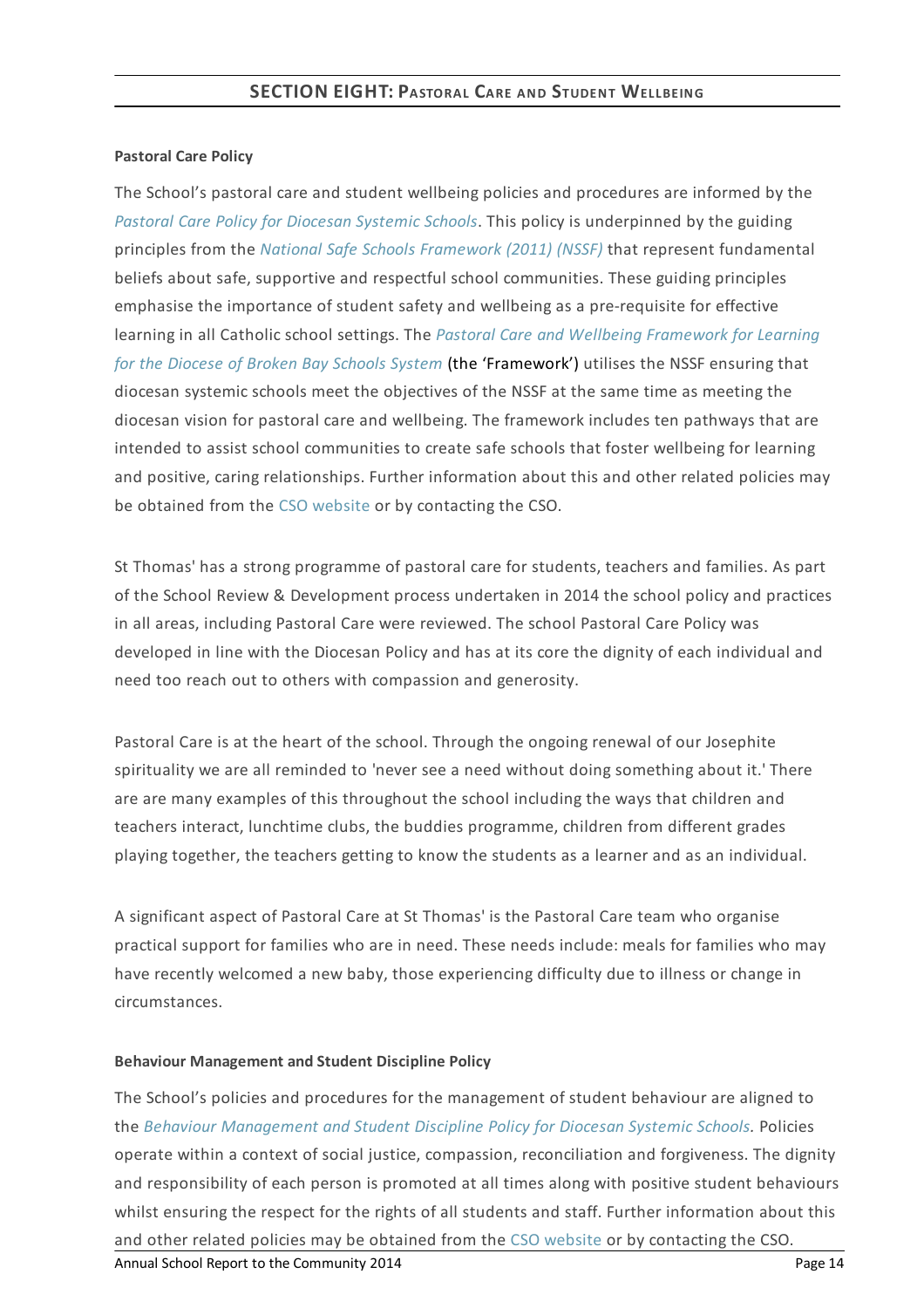#### **Pastoral Care Policy**

The School's pastoral care and student wellbeing policies and procedures are informed by the *Pastoral Care Policy for [Diocesan](https://www.csodbb.catholic.edu.au/about/dsp-collection.cfm?loadref=125) Systemic Schools*. This policy is underpinned by the guiding principles from the *National Safe Schools [Framework](https://www.education.gov.au/national-safe-schools-framework-0) (2011) (NSSF)* that represent fundamental beliefs about safe, supportive and respectful school communities. These guiding principles emphasise the importance of student safety and wellbeing as a pre-requisite for effective learning in all Catholic school settings. The *Pastoral Care and Wellbeing Framework for Learning for the Diocese of Broken Bay Schools System* (the ['Framework'\)](https://www.csodbb.catholic.edu.au/studentwellbeing/dsp-default.cfm?loadref=140) utilises the NSSF ensuring that diocesan systemic schools meet the objectives of the NSSF at the same time as meeting the diocesan vision for pastoral care and wellbeing. The framework includes ten pathways that are intended to assist school communities to create safe schools that foster wellbeing for learning and positive, caring relationships. Further information about this and other related policies may be obtained from the CSO [website](https://www.csodbb.catholic.edu.au/about/dsp-collection.cfm?loadref=125) or by contacting the CSO.

St Thomas' has a strong programme of pastoral care for students, teachers and families. As part of the School Review & Development process undertaken in 2014 the school policy and practices in all areas, including Pastoral Care were reviewed. The school Pastoral Care Policy was developed in line with the Diocesan Policy and has at its core the dignity of each individual and need too reach out to others with compassion and generosity.

Pastoral Care is at the heart of the school. Through the ongoing renewal of our Josephite spirituality we are all reminded to 'never see a need without doing something about it.'There are are many examples of this throughout the school including the ways that children and teachers interact, lunchtime clubs, the buddies programme, children from different grades playing together, the teachers getting to know the students as a learner and as an individual.

A significant aspect of Pastoral Care at St Thomas' is the Pastoral Care team who organise practical support for families who are in need. These needs include: meals for families who may have recently welcomed a new baby, those experiencing difficulty due to illness or change in circumstances.

#### **Behaviour Management and Student Discipline Policy**

The School's policies and procedures for the management of student behaviour are aligned to the *Behaviour [Management](https://www.csodbb.catholic.edu.au/about/dsp-collection.cfm?loadref=125) and Student Discipline Policy for Diocesan Systemic Schools.* Policies operate within a context of social justice, compassion, reconciliation and forgiveness. The dignity and responsibility of each person is promoted at all times along with positive student behaviours whilst ensuring the respect for the rights of all students and staff. Further information about this and other related policies may be obtained from the CSO [website](https://www.csodbb.catholic.edu.au/about/dsp-collection.cfm?loadref=125) or by contacting the CSO. Annual School Report to the Community 2014 **Page 14** and the Community 2014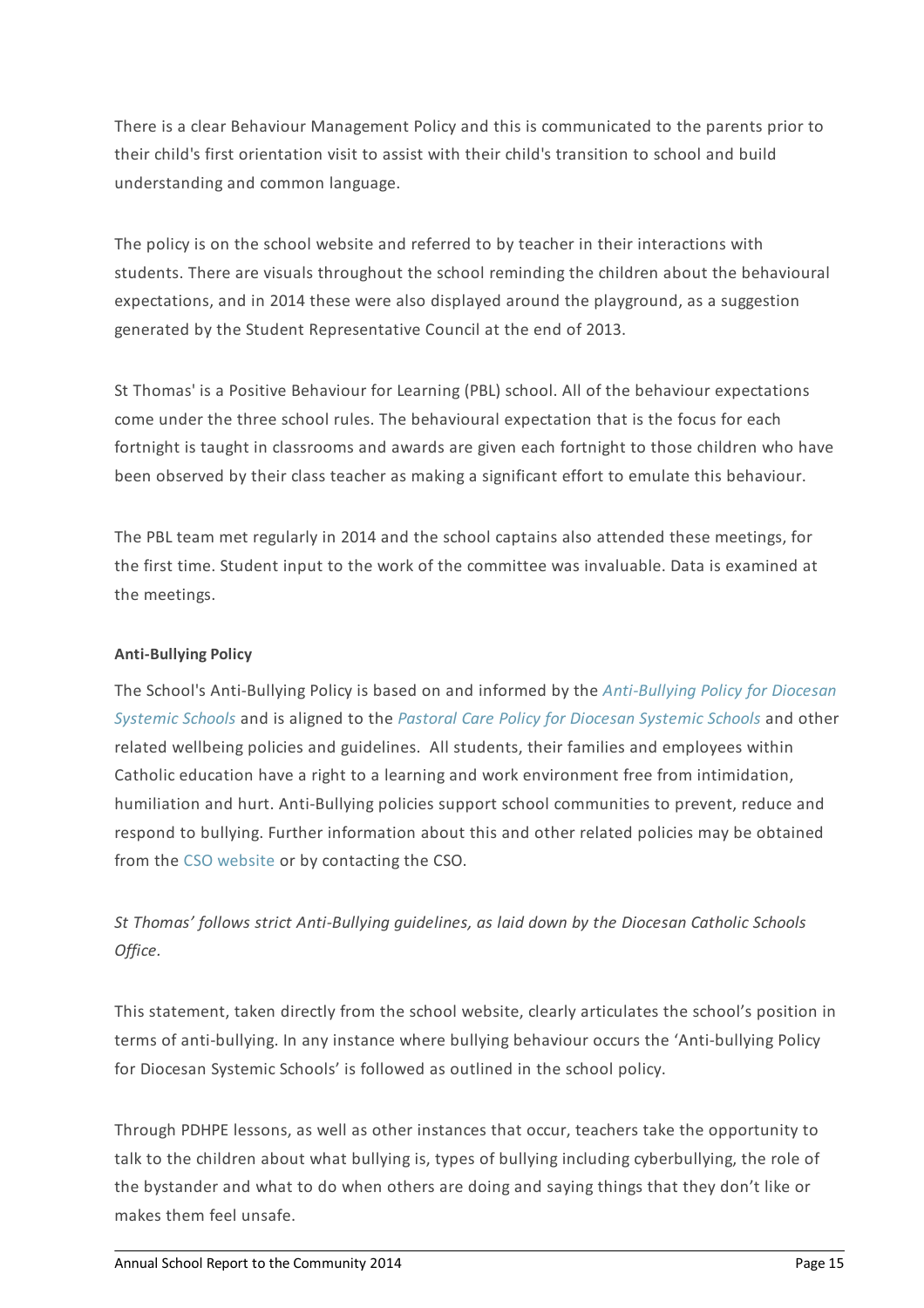There is a clear Behaviour Management Policy and this is communicated to the parents prior to their child's first orientation visit to assist with their child's transition to school and build understanding and common language.

The policy is on the school website and referred to by teacher in their interactions with students. There are visuals throughout the school reminding the children about the behavioural expectations, and in 2014 these were also displayed around the playground, as a suggestion generated by the Student Representative Council at the end of 2013.

St Thomas' is a Positive Behaviour for Learning (PBL) school. All of the behaviour expectations come under the three school rules. The behavioural expectation that is the focus for each fortnight is taught in classrooms and awards are given each fortnight to those children who have been observed by their class teacher as making a significant effort to emulate this behaviour.

The PBL team met regularly in 2014 and the school captains also attended these meetings, for the first time. Student input to the work of the committee was invaluable. Data is examined at the meetings.

## **Anti-Bullying Policy**

The School's [Anti-Bullying](https://www.csodbb.catholic.edu.au/about/dsp-collection.cfm?loadref=125) Policy is based on and informed by the *Anti-Bullying Policy for Diocesan Systemic Schools* and is aligned to the *Pastoral Care Policy for [Diocesan](https://www.csodbb.catholic.edu.au/about/dsp-collection.cfm?loadref=125) Systemic Schools* and other related wellbeing policies and guidelines. All students, their families and employees within Catholic education have a right to a learning and work environment free from intimidation, humiliation and hurt. Anti-Bullying policies support school communities to prevent, reduce and respond to bullying. Further information about this and other related policies may be obtained from the CSO [website](https://www.csodbb.catholic.edu.au/about/dsp-collection.cfm?loadref=125) or by contacting the CSO.

*St Thomas' follows strict Anti-Bullying guidelines, as laid down by the Diocesan Catholic Schools Office.*

This statement, taken directly from the school website, clearly articulates the school's position in terms of anti-bullying. In any instance where bullying behaviour occurs the 'Anti-bullying Policy for Diocesan Systemic Schools' is followed as outlined in the school policy.

Through PDHPE lessons, as well as other instances that occur, teachers take the opportunity to talk to the children about what bullying is, types of bullying including cyberbullying, the role of the bystander and what to do when others are doing and saying things that they don't like or makes them feel unsafe.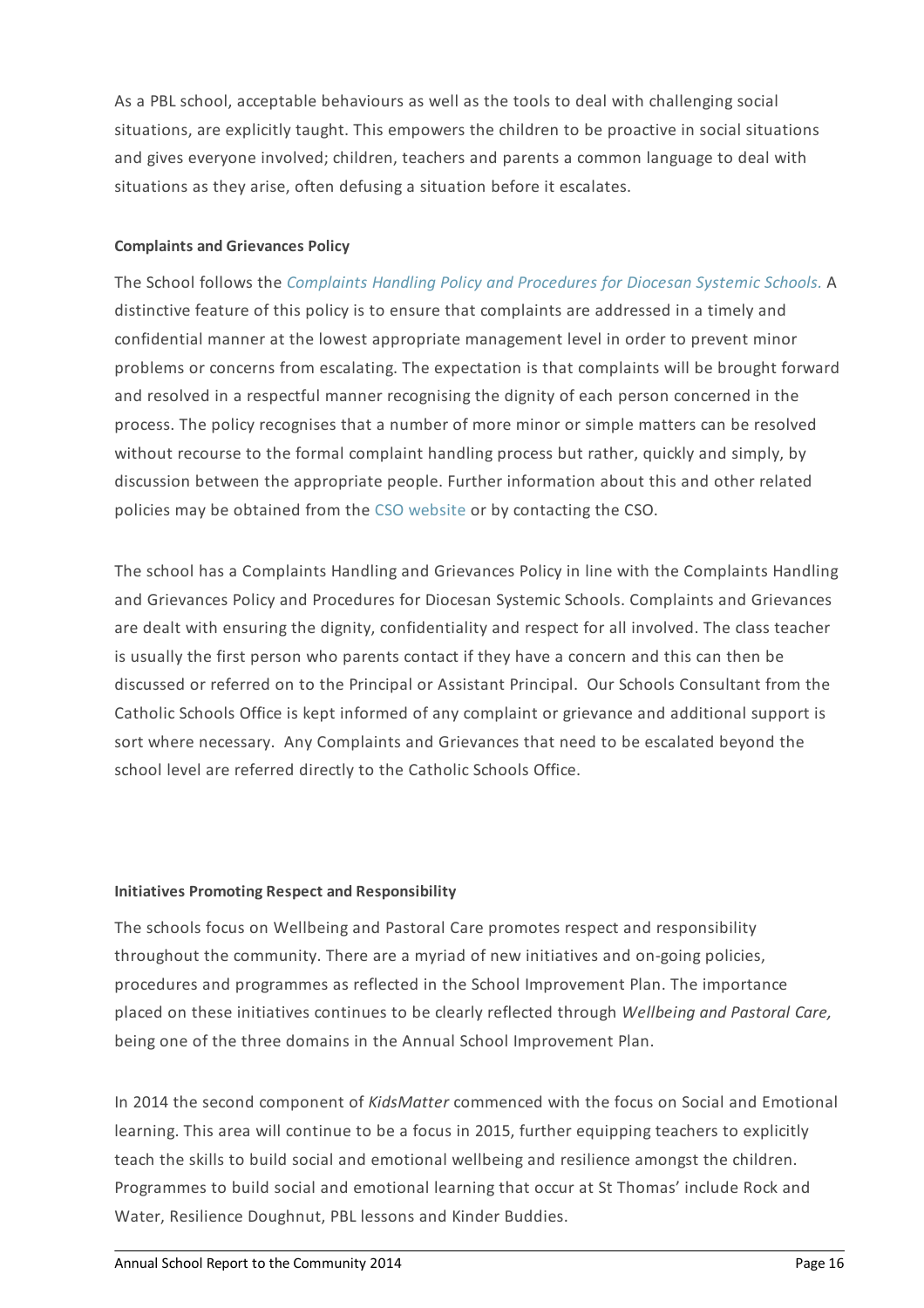As a PBL school, acceptable behaviours as well as the tools to deal with challenging social situations, are explicitly taught. This empowers the children to be proactive in social situations and gives everyone involved; children, teachers and parents a common language to deal with situations as they arise, often defusing a situation before it escalates.

#### **Complaints and Grievances Policy**

The School follows the *[Complaints](https://www.csodbb.catholic.edu.au/about/dsp-collection.cfm?loadref=125) Handling Policy and Procedures for Diocesan Systemic Schools.* A distinctive feature of this policy is to ensure that complaints are addressed in a timely and confidential manner at the lowest appropriate management level in order to prevent minor problems or concerns from escalating. The expectation is that complaints will be brought forward and resolved in a respectful manner recognising the dignity of each person concerned in the process. The policy recognises that a number of more minor or simple matters can be resolved without recourse to the formal complaint handling process but rather, quickly and simply, by discussion between the appropriate people. Further information about this and other related policies may be obtained from the CSO [website](https://www.csodbb.catholic.edu.au/about/dsp-collection.cfm?loadref=125) or by contacting the CSO.

The school has a Complaints Handling and Grievances Policy in line with the Complaints Handling and Grievances Policy and Procedures for Diocesan Systemic Schools. Complaints and Grievances are dealt with ensuring the dignity, confidentiality and respect for all involved. The class teacher is usually the first person who parents contact if they have a concern and this can then be discussed or referred on to the Principal or Assistant Principal. Our Schools Consultant from the Catholic Schools Office is kept informed of any complaint or grievance and additional support is sort where necessary. Any Complaints and Grievances that need to be escalated beyond the school level are referred directly to the Catholic Schools Office.

## **Initiatives Promoting Respect and Responsibility**

The schools focus on Wellbeing and Pastoral Care promotes respect and responsibility throughout the community. There are a myriad of new initiatives and on-going policies, procedures and programmes as reflected in the School Improvement Plan. The importance placed on these initiatives continues to be clearly reflected through *Wellbeing and Pastoral Care,* being one of the three domains in the Annual School Improvement Plan.

In 2014 the second component of *KidsMatter* commenced with the focus on Social and Emotional learning. This area will continue to be a focus in 2015, further equipping teachers to explicitly teach the skills to build social and emotional wellbeing and resilience amongst the children. Programmes to build social and emotional learning that occur at St Thomas' include Rock and Water, Resilience Doughnut, PBL lessons and Kinder Buddies.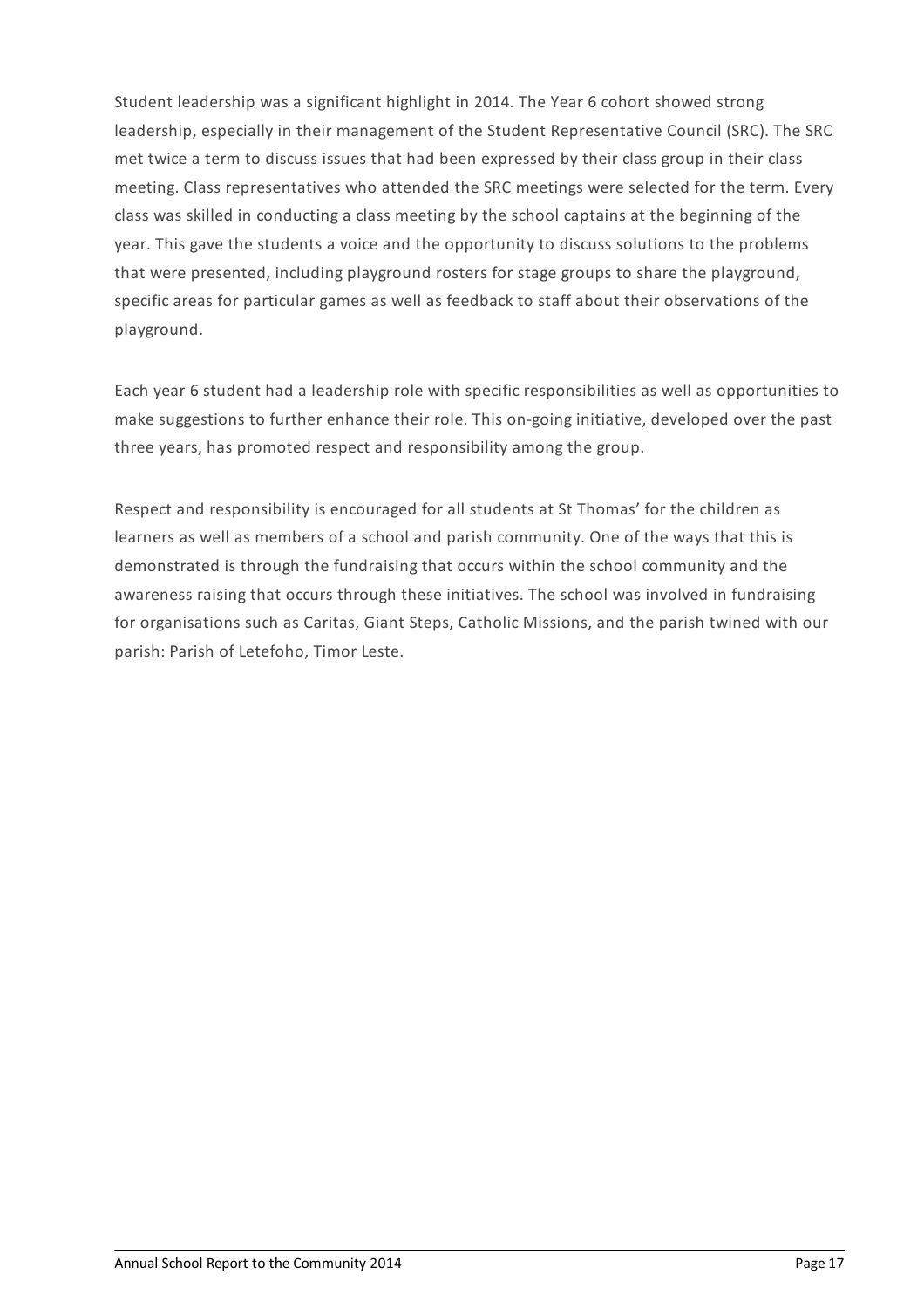Student leadership was a significant highlight in 2014. The Year 6 cohort showed strong leadership, especially in their management of the Student Representative Council (SRC). The SRC met twice a term to discuss issues that had been expressed by their class group in their class meeting. Class representatives who attended the SRC meetings were selected for the term. Every class was skilled in conducting a class meeting by the school captains at the beginning of the year. This gave the students a voice and the opportunity to discuss solutions to the problems that were presented, including playground rosters for stage groups to share the playground, specific areas for particular games as well as feedback to staff about their observations of the playground.

Each year 6 student had a leadership role with specific responsibilities as well as opportunities to make suggestions to further enhance their role. This on-going initiative, developed over the past three years, has promoted respect and responsibility among the group.

Respect and responsibility is encouraged for all students at St Thomas' for the children as learners as well as members of a school and parish community. One of the ways that this is demonstrated is through the fundraising that occurs within the school community and the awareness raising that occurs through these initiatives. The school was involved in fundraising for organisations such as Caritas, Giant Steps, Catholic Missions, and the parish twined with our parish: Parish of Letefoho, Timor Leste.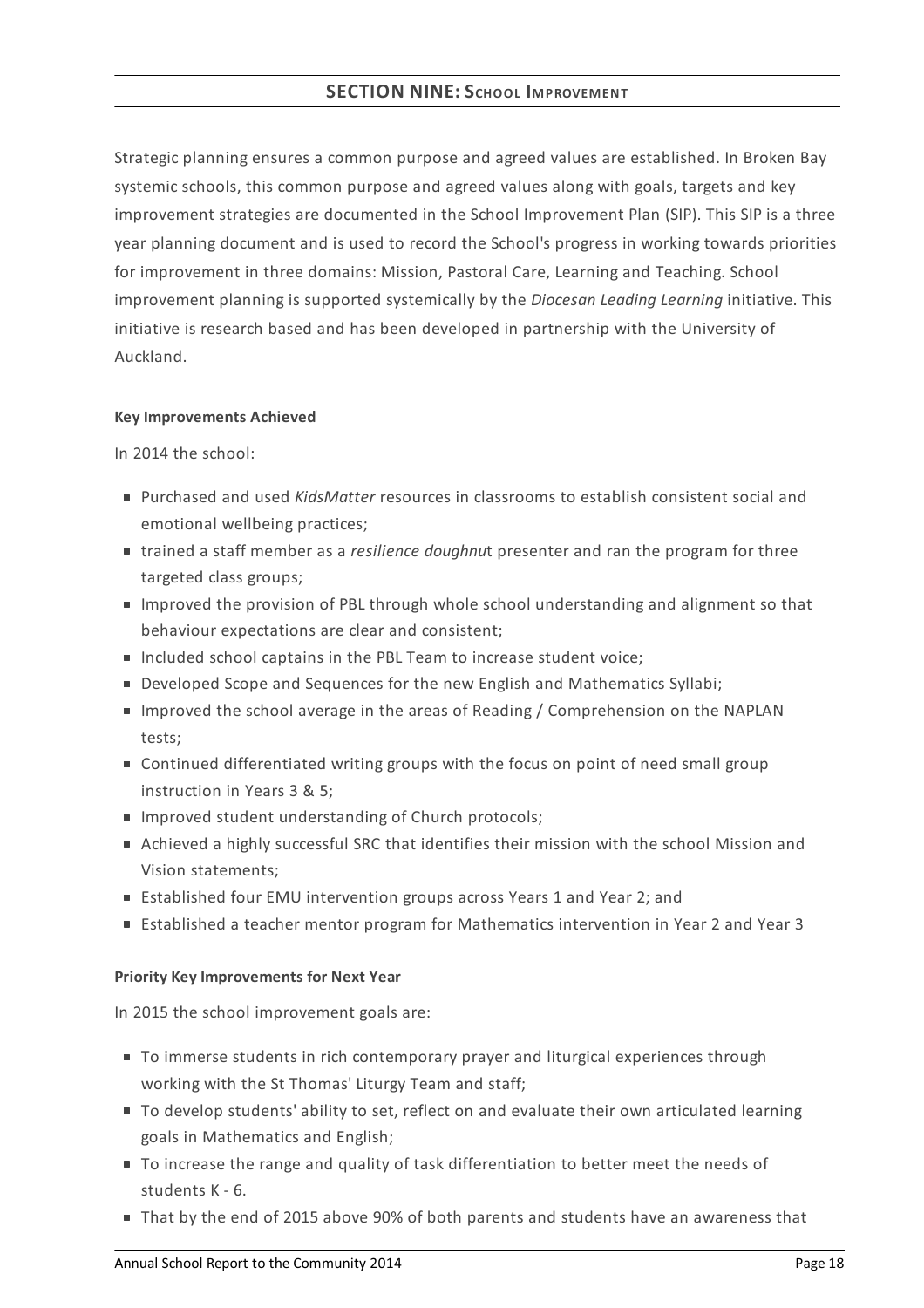## **SECTION NINE:SCHOOL IMPROVEMENT**

Strategic planning ensures a common purpose and agreed values are established. In Broken Bay systemic schools, this common purpose and agreed values along with goals, targets and key improvement strategies are documented in the School Improvement Plan (SIP). This SIP is a three year planning document and is used to record the School's progress in working towards priorities for improvement in three domains: Mission, Pastoral Care, Learning and Teaching. School improvement planning is supported systemically by the *Diocesan Leading Learning* initiative. This initiative is research based and has been developed in partnership with the University of Auckland.

#### **KeyImprovements Achieved**

In 2014 the school:

- Purchased and used *KidsMatter* resources in classrooms to establish consistent social and emotional wellbeing practices;
- trained a staff member as a *resilience doughnu*t presenter and ran the program for three targeted class groups;
- **IMP** Improved the provision of PBL through whole school understanding and alignment so that behaviour expectations are clear and consistent;
- Included school captains in the PBL Team to increase student voice;
- **Developed Scope and Sequences for the new English and Mathematics Syllabi;**
- Improved the school average in the areas of Reading / Comprehension on the NAPLAN tests;
- Continued differentiated writing groups with the focus on point of need small group instruction in Years 3 & 5;
- **Improved student understanding of Church protocols;**
- Achieved a highly successful SRC that identifies their mission with the school Mission and Vision statements;
- Established four EMU intervention groups across Years 1 and Year 2; and
- Established a teacher mentor program for Mathematics intervention in Year 2 and Year 3

## **Priority KeyImprovements for Next Year**

In 2015 the school improvement goals are:

- To immerse students in rich contemporary prayer and liturgical experiences through working with the St Thomas' Liturgy Team and staff;
- To develop students' ability to set, reflect on and evaluate their own articulated learning goals in Mathematics and English;
- To increase the range and quality of task differentiation to better meet the needs of students K - 6.
- That by the end of 2015 above 90% of both parents and students have an awareness that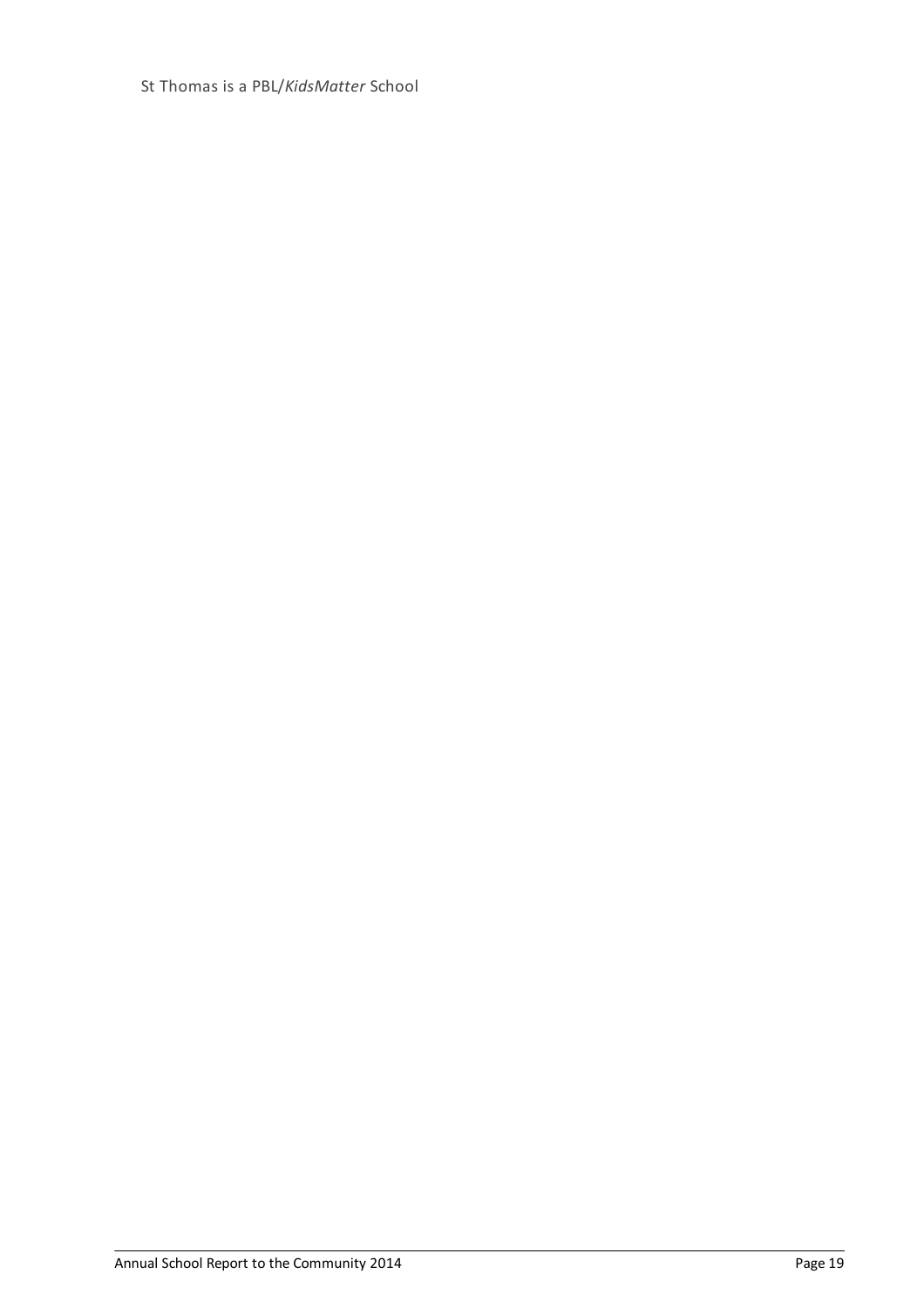St Thomas is a PBL/*KidsMatter* School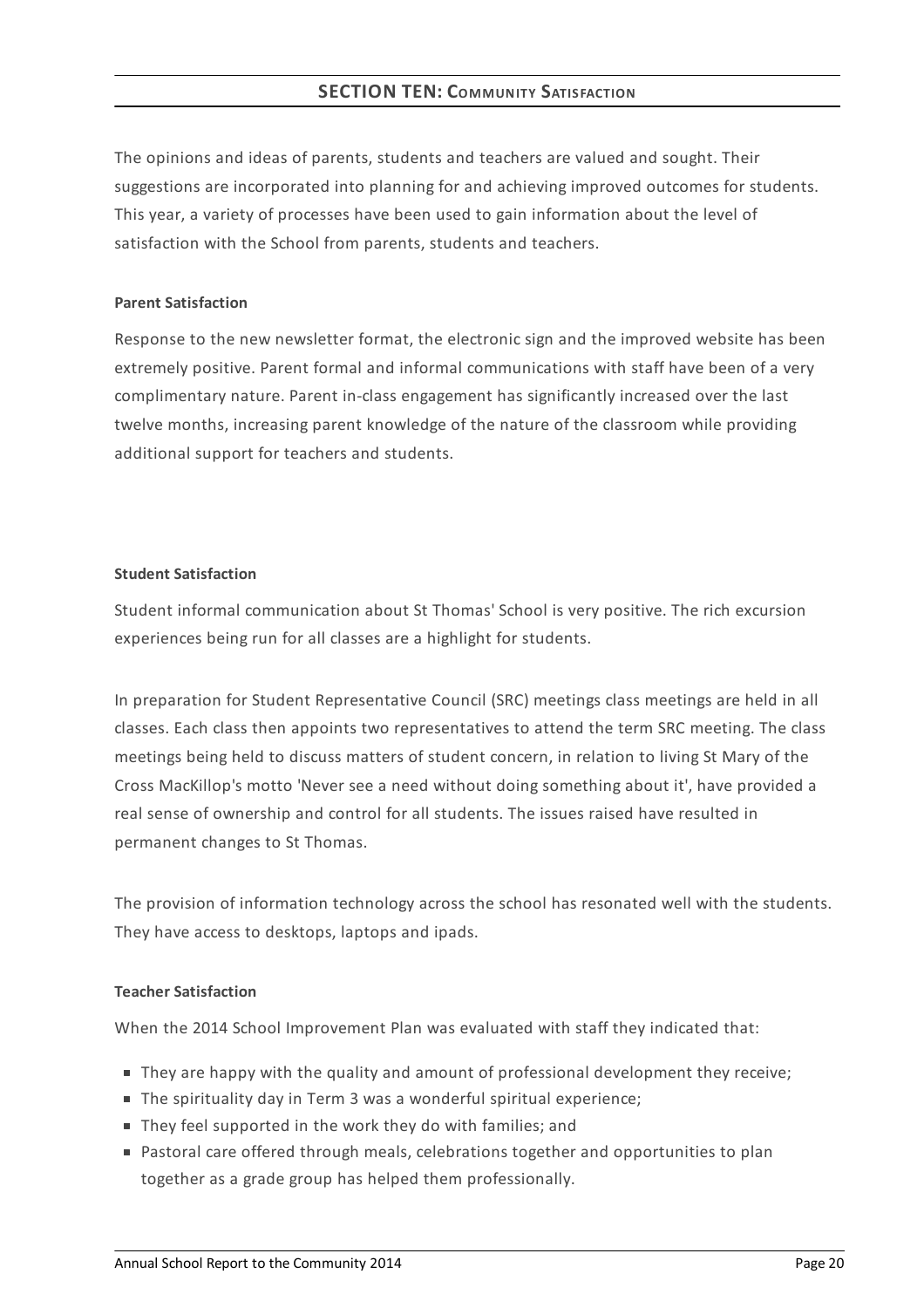The opinions and ideas of parents, students and teachers are valued and sought. Their suggestions are incorporated into planning for and achieving improved outcomes for students. This year, a variety of processes have been used to gain information about the level of satisfaction with the School from parents, students and teachers.

#### **Parent Satisfaction**

Response to the new newsletter format, the electronic sign and the improved website has been extremely positive. Parent formal and informal communications with staff have been of a very complimentary nature. Parent in-class engagement has significantly increased over the last twelve months, increasing parent knowledge of the nature of the classroom while providing additional support for teachers and students.

## **Student Satisfaction**

Student informal communication about St Thomas' School is very positive. The rich excursion experiences being run for all classes are a highlight for students.

In preparation for Student Representative Council (SRC) meetings class meetings are held in all classes. Each class then appoints two representatives to attend the term SRC meeting. The class meetings being held to discuss matters of student concern, in relation to living St Mary of the Cross MacKillop's motto 'Never see a need without doing something about it', have provided a real sense of ownership and control for all students. The issues raised have resulted in permanent changes to St Thomas.

The provision of information technology across the school has resonated well with the students. They have access to desktops, laptops and ipads.

## **Teacher Satisfaction**

When the 2014 School Improvement Plan was evaluated with staff they indicated that:

- They are happy with the quality and amount of professional development they receive;
- The spirituality day in Term 3 was a wonderful spiritual experience:
- They feel supported in the work they do with families; and
- **Pastoral care offered through meals, celebrations together and opportunities to plan** together as a grade group has helped them professionally.